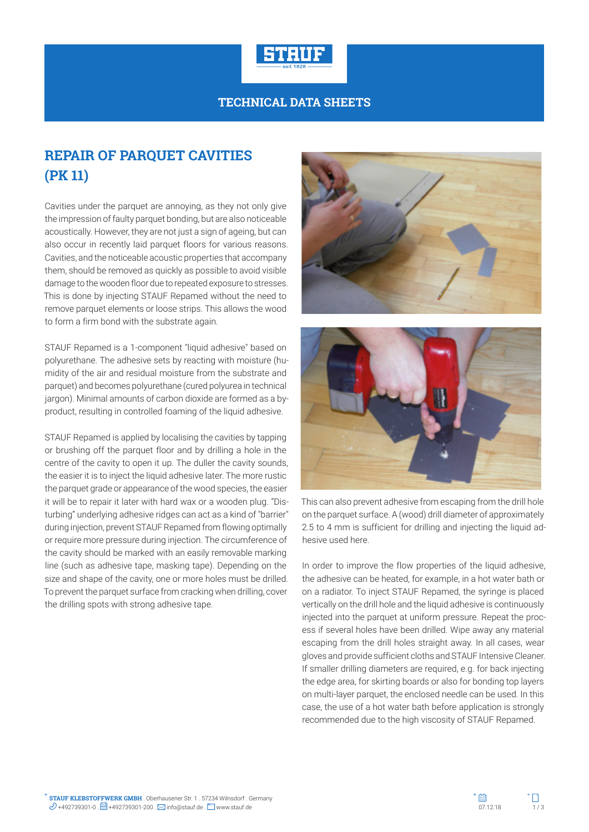

## **TECHNICAL DATA SHEETS**

## **REPAIR OF PARQUET CAVITIES (PK 11)**

Cavities under the parquet are annoying, as they not only give the impression of faulty parquet bonding, but are also noticeable acoustically. However, they are not just a sign of ageing, but can also occur in recently laid parquet floors for various reasons. Cavities, and the noticeable acoustic properties that accompany them, should be removed as quickly as possible to avoid visible damage to the wooden floor due to repeated exposure to stresses. This is done by injecting STAUF Repamed without the need to remove parquet elements or loose strips. This allows the wood to form a firm bond with the substrate again.

STAUF Repamed is a 1-component "liquid adhesive" based on polyurethane. The adhesive sets by reacting with moisture (humidity of the air and residual moisture from the substrate and parquet) and becomes polyurethane (cured polyurea in technical jargon). Minimal amounts of carbon dioxide are formed as a byproduct, resulting in controlled foaming of the liquid adhesive.

STAUF Repamed is applied by localising the cavities by tapping or brushing off the parquet floor and by drilling a hole in the centre of the cavity to open it up. The duller the cavity sounds, the easier it is to inject the liquid adhesive later. The more rustic the parquet grade or appearance of the wood species, the easier it will be to repair it later with hard wax or a wooden plug. "Disturbing" underlying adhesive ridges can act as a kind of "barrier" during injection, prevent STAUF Repamed from flowing optimally or require more pressure during injection. The circumference of the cavity should be marked with an easily removable marking line (such as adhesive tape, masking tape). Depending on the size and shape of the cavity, one or more holes must be drilled. To prevent the parquet surface from cracking when drilling, cover the drilling spots with strong adhesive tape.





This can also prevent adhesive from escaping from the drill hole on the parquet surface. A (wood) drill diameter of approximately 2.5 to 4 mm is sufficient for drilling and injecting the liquid adhesive used here.

In order to improve the flow properties of the liquid adhesive, the adhesive can be heated, for example, in a hot water bath or on a radiator. To inject STAUF Repamed, the syringe is placed vertically on the drill hole and the liquid adhesive is continuously injected into the parquet at uniform pressure. Repeat the process if several holes have been drilled. Wipe away any material escaping from the drill holes straight away. In all cases, wear gloves and provide sufficient cloths and STAUF Intensive Cleaner. If smaller drilling diameters are required, e.g. for back injecting the edge area, for skirting boards or also for bonding top layers on multi-layer parquet, the enclosed needle can be used. In this case, the use of a hot water bath before application is strongly recommended due to the high viscosity of STAUF Repamed.

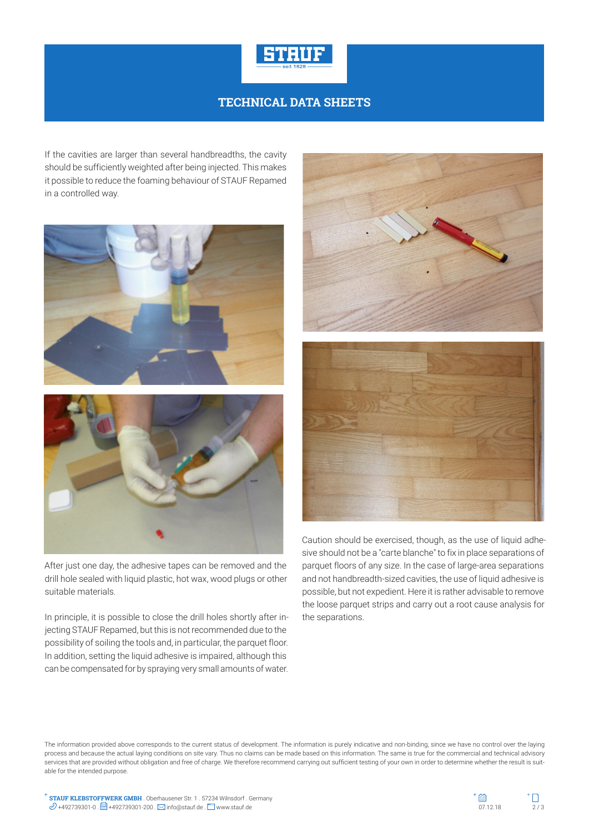

## **TECHNICAL DATA SHEETS**

If the cavities are larger than several handbreadths, the cavity should be sufficiently weighted after being injected. This makes it possible to reduce the foaming behaviour of STAUF Repamed in a controlled way.





After just one day, the adhesive tapes can be removed and the drill hole sealed with liquid plastic, hot wax, wood plugs or other suitable materials.

In principle, it is possible to close the drill holes shortly after injecting STAUF Repamed, but this is not recommended due to the possibility of soiling the tools and, in particular, the parquet floor. In addition, setting the liquid adhesive is impaired, although this can be compensated for by spraying very small amounts of water.



Caution should be exercised, though, as the use of liquid adhesive should not be a "carte blanche" to fix in place separations of parquet floors of any size. In the case of large-area separations and not handbreadth-sized cavities, the use of liquid adhesive is possible, but not expedient. Here it is rather advisable to remove the loose parquet strips and carry out a root cause analysis for the separations.

The information provided above corresponds to the current status of development. The information is purely indicative and non-binding, since we have no control over the laying process and because the actual laying conditions on site vary. Thus no claims can be made based on this information. The same is true for the commercial and technical advisory services that are provided without obligation and free of charge. We therefore recommend carrying out sufficient testing of your own in order to determine whether the result is suitable for the intended purpose.